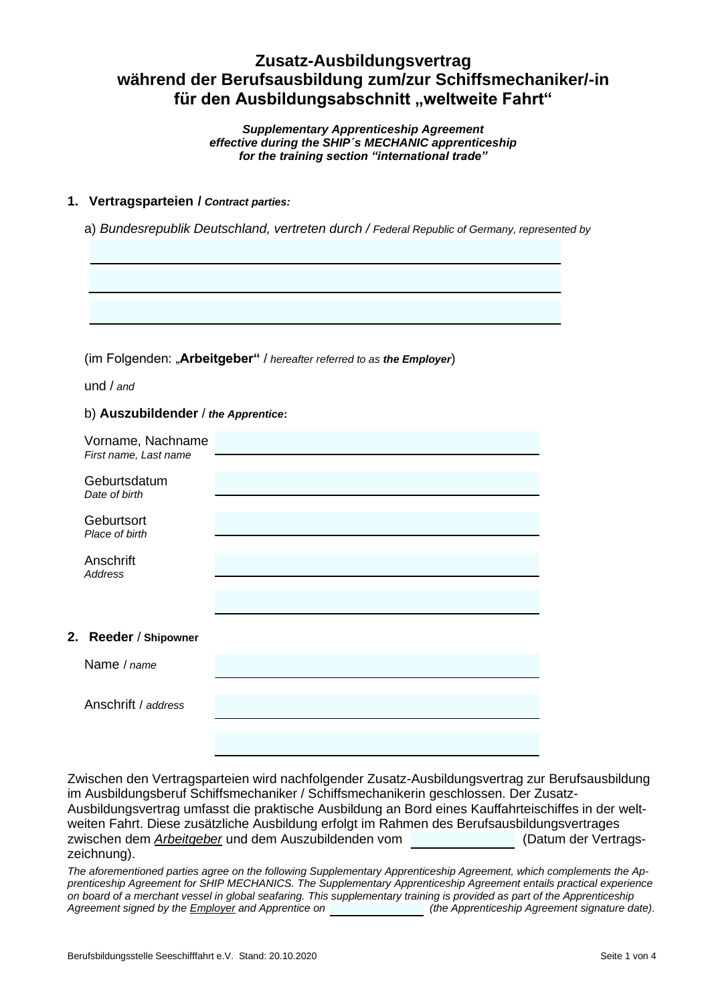# **Zusatz-Ausbildungsvertrag während der Berufsausbildung zum/zur Schiffsmechaniker/-in** für den Ausbildungsabschnitt "weltweite Fahrt"

*Supplementary Apprenticeship Agreement effective during the SHIP´s MECHANIC apprenticeship for the training section "international trade"*

# **1. Vertragsparteien /** *Contract parties:*

a) *Bundesrepublik Deutschland, vertreten durch / Federal Republic of Germany, represented by*

(im Folgenden: "**Arbeitgeber"** / *hereafter referred to as the Employer*)

und / *and*

#### b) **Auszubildender** / *the Apprentice***:**

| Vorname, Nachname<br>First name, Last name |  |
|--------------------------------------------|--|
| Geburtsdatum<br>Date of birth              |  |
| Geburtsort<br>Place of birth               |  |
| Anschrift<br><b>Address</b>                |  |
|                                            |  |
| 2. Reeder / Shipowner                      |  |
| Name / name                                |  |
| Anschrift / address                        |  |
|                                            |  |

Zwischen den Vertragsparteien wird nachfolgender Zusatz-Ausbildungsvertrag zur Berufsausbildung im Ausbildungsberuf Schiffsmechaniker / Schiffsmechanikerin geschlossen. Der Zusatz-Ausbildungsvertrag umfasst die praktische Ausbildung an Bord eines Kauffahrteischiffes in der weltweiten Fahrt. Diese zusätzliche Ausbildung erfolgt im Rahmen des Berufsausbildungsvertrages zwischen dem *Arbeitgeber* und dem Auszubildenden vom (Datum der Vertragszeichnung).

*The aforementioned parties agree on the following Supplementary Apprenticeship Agreement, which complements the Apprenticeship Agreement for SHIP MECHANICS. The Supplementary Apprenticeship Agreement entails practical experience on board of a merchant vessel in global seafaring. This supplementary training is provided as part of the Apprenticeship Agreement signed by the Employer and Apprentice on (the Apprenticeship Agreement signature date).*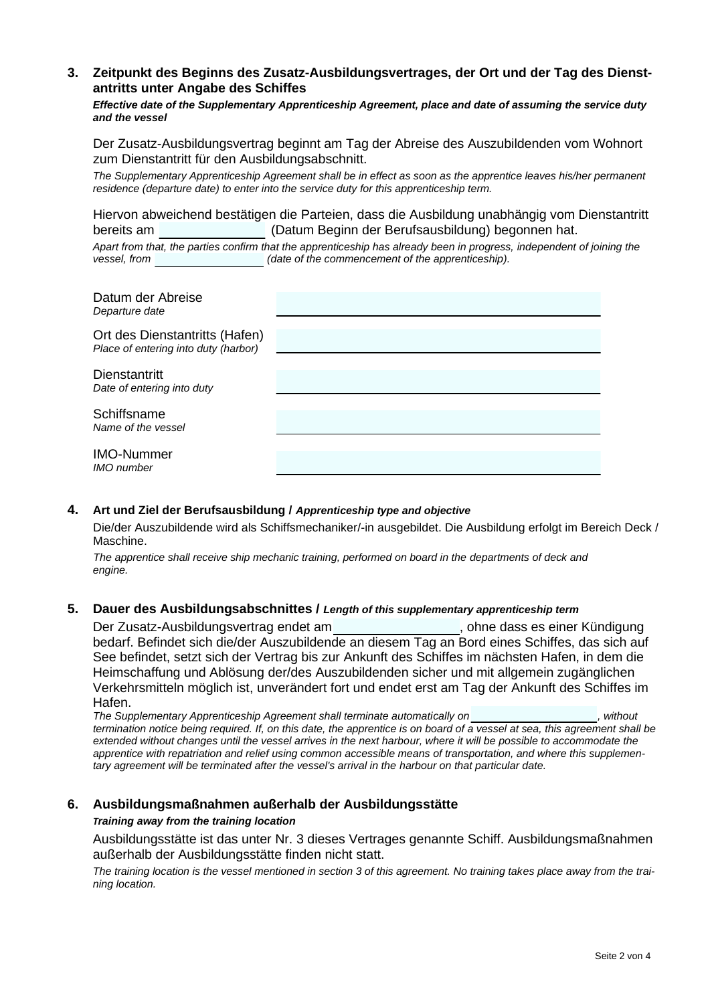# **3. Zeitpunkt des Beginns des Zusatz-Ausbildungsvertrages, der Ort und der Tag des Dienstantritts unter Angabe des Schiffes**

*Effective date of the Supplementary Apprenticeship Agreement, place and date of assuming the service duty and the vessel*

Der Zusatz-Ausbildungsvertrag beginnt am Tag der Abreise des Auszubildenden vom Wohnort zum Dienstantritt für den Ausbildungsabschnitt.

*The Supplementary Apprenticeship Agreement shall be in effect as soon as the apprentice leaves his/her permanent residence (departure date) to enter into the service duty for this apprenticeship term.*

Hiervon abweichend bestätigen die Parteien, dass die Ausbildung unabhängig vom Dienstantritt bereits am (Datum Beginn der Berufsausbildung) begonnen hat.

*Apart from that, the parties confirm that the apprenticeship has already been in progress, independent of joining the vessel, from (date of the commencement of the apprenticeship).*

| Datum der Abreise<br>Departure date                                    |  |
|------------------------------------------------------------------------|--|
| Ort des Dienstantritts (Hafen)<br>Place of entering into duty (harbor) |  |
| <b>Dienstantritt</b><br>Date of entering into duty                     |  |
| Schiffsname<br>Name of the vessel                                      |  |
| <b>IMO-Nummer</b><br><b>IMO</b> number                                 |  |

#### **4. Art und Ziel der Berufsausbildung /** *Apprenticeship type and objective*

Die/der Auszubildende wird als Schiffsmechaniker/-in ausgebildet. Die Ausbildung erfolgt im Bereich Deck / Maschine.

*The apprentice shall receive ship mechanic training, performed on board in the departments of deck and engine.*

### **5. Dauer des Ausbildungsabschnittes /** *Length of this supplementary apprenticeship term*

Der Zusatz-Ausbildungsvertrag endet am **Statter and Statter and State and State and State and State and State and State and State and State and State and State and State and State and State and State and State and State an** bedarf. Befindet sich die/der Auszubildende an diesem Tag an Bord eines Schiffes, das sich auf See befindet, setzt sich der Vertrag bis zur Ankunft des Schiffes im nächsten Hafen, in dem die Heimschaffung und Ablösung der/des Auszubildenden sicher und mit allgemein zugänglichen Verkehrsmitteln möglich ist, unverändert fort und endet erst am Tag der Ankunft des Schiffes im Hafen.

*The Supplementary Apprenticeship Agreement shall terminate automatically on , without termination notice being required. If, on this date, the apprentice is on board of a vessel at sea, this agreement shall be*  extended without changes until the vessel arrives in the next harbour, where it will be possible to accommodate the *apprentice with repatriation and relief using common accessible means of transportation, and where this supplementary agreement will be terminated after the vessel's arrival in the harbour on that particular date.*

#### **6. Ausbildungsmaßnahmen außerhalb der Ausbildungsstätte**

#### *Training away from the training location*

Ausbildungsstätte ist das unter Nr. 3 dieses Vertrages genannte Schiff. Ausbildungsmaßnahmen außerhalb der Ausbildungsstätte finden nicht statt.

*The training location is the vessel mentioned in section 3 of this agreement. No training takes place away from the training location.*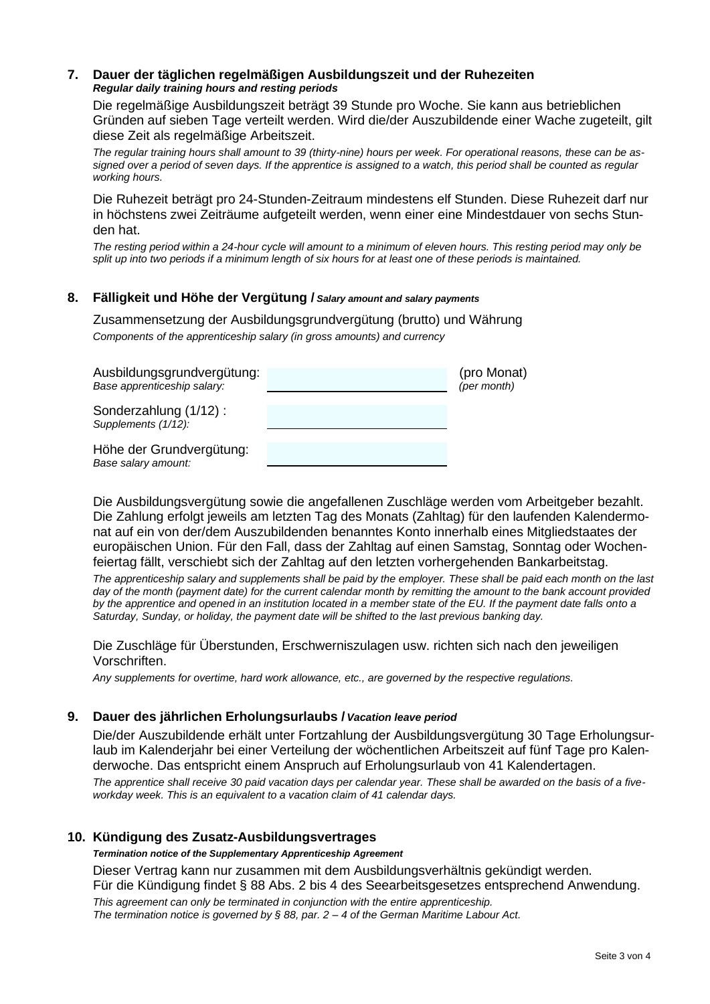# **7. Dauer der täglichen regelmäßigen Ausbildungszeit und der Ruhezeiten** *Regular daily training hours and resting periods*

Die regelmäßige Ausbildungszeit beträgt 39 Stunde pro Woche. Sie kann aus betrieblichen Gründen auf sieben Tage verteilt werden. Wird die/der Auszubildende einer Wache zugeteilt, gilt diese Zeit als regelmäßige Arbeitszeit.

*The regular training hours shall amount to 39 (thirty-nine) hours per week. For operational reasons, these can be assigned over a period of seven days. If the apprentice is assigned to a watch, this period shall be counted as regular working hours.*

Die Ruhezeit beträgt pro 24-Stunden-Zeitraum mindestens elf Stunden. Diese Ruhezeit darf nur in höchstens zwei Zeiträume aufgeteilt werden, wenn einer eine Mindestdauer von sechs Stunden hat.

*The resting period within a 24-hour cycle will amount to a minimum of eleven hours. This resting period may only be split up into two periods if a minimum length of six hours for at least one of these periods is maintained.*

# **8. Fälligkeit und Höhe der Vergütung /** *Salary amount and salary payments*

Zusammensetzung der Ausbildungsgrundvergütung (brutto) und Währung *Components of the apprenticeship salary (in gross amounts) and currency*

| Ausbildungsgrundvergütung:<br>Base apprenticeship salary: | (pro Monat)<br>(per month) |
|-----------------------------------------------------------|----------------------------|
| Sonderzahlung (1/12):<br>Supplements (1/12):              |                            |
| Höhe der Grundvergütung:<br>Base salary amount:           |                            |

Die Ausbildungsvergütung sowie die angefallenen Zuschläge werden vom Arbeitgeber bezahlt. Die Zahlung erfolgt jeweils am letzten Tag des Monats (Zahltag) für den laufenden Kalendermonat auf ein von der/dem Auszubildenden benanntes Konto innerhalb eines Mitgliedstaates der europäischen Union. Für den Fall, dass der Zahltag auf einen Samstag, Sonntag oder Wochenfeiertag fällt, verschiebt sich der Zahltag auf den letzten vorhergehenden Bankarbeitstag.

*The apprenticeship salary and supplements shall be paid by the employer. These shall be paid each month on the last day of the month (payment date) for the current calendar month by remitting the amount to the bank account provided by the apprentice and opened in an institution located in a member state of the EU. If the payment date falls onto a Saturday, Sunday, or holiday, the payment date will be shifted to the last previous banking day.*

Die Zuschläge für Überstunden, Erschwerniszulagen usw. richten sich nach den jeweiligen Vorschriften.

*Any supplements for overtime, hard work allowance, etc., are governed by the respective regulations.*

## **9. Dauer des jährlichen Erholungsurlaubs /***Vacation leave period*

Die/der Auszubildende erhält unter Fortzahlung der Ausbildungsvergütung 30 Tage Erholungsurlaub im Kalenderjahr bei einer Verteilung der wöchentlichen Arbeitszeit auf fünf Tage pro Kalenderwoche. Das entspricht einem Anspruch auf Erholungsurlaub von 41 Kalendertagen.

*The apprentice shall receive 30 paid vacation days per calendar year. These shall be awarded on the basis of a fiveworkday week. This is an equivalent to a vacation claim of 41 calendar days.*

## **10. Kündigung des Zusatz-Ausbildungsvertrages**

*Termination notice of the Supplementary Apprenticeship Agreement*

Dieser Vertrag kann nur zusammen mit dem Ausbildungsverhältnis gekündigt werden.

Für die Kündigung findet § 88 Abs. 2 bis 4 des Seearbeitsgesetzes entsprechend Anwendung.

*This agreement can only be terminated in conjunction with the entire apprenticeship. The termination notice is governed by § 88, par. 2 – 4 of the German Maritime Labour Act.*